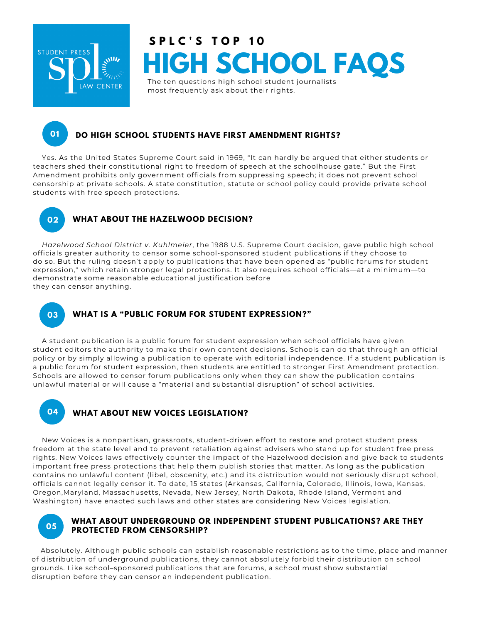

# **HIGH SCHOOL FAQS** The ten questions high school student journalists **S P L C ' S T O P 1 0**

most frequently ask about their rights.

## **DO HIGH SCHOOL STUDENTS HAVE FIRST AMENDMENT RIGHTS?**

Yes. As the United States Supreme Court said in 1969, "It can hardly be argued that either students or teachers shed their constitutional right to freedom of speech at the schoolhouse gate." But the First Amendment prohibits only government officials from suppressing speech; it does not prevent school censorship at private schools. A state constitution, statute or school policy could provide private school students with free speech protections.

**01**

## **02 WHAT ABOUT THE HAZELWOOD DECISION?**

*Hazelwood School District v. Kuhlmeier*, the 1988 U.S. Supreme Court decision, gave public high school officials greater authority to censor some school-sponsored student publications if they choose to do so. But the ruling doesn't apply to publications that have been opened as "public forums for student expression," which retain stronger legal protections. It also requires school officials—at a minimum—to demonstrate some reasonable educational justification before they can censor anything.

# **03 WHAT IS A "PUBLIC FORUM FOR STUDENT EXPRESSION?"**

A student publication is a public forum for student expression when school officials have given student editors the authority to make their own content decisions. Schools can do that through an official policy or by simply allowing a publication to operate with editorial independence. If a student publication is a public forum for student expression, then students are entitled to stronger First Amendment protection. Schools are allowed to censor forum publications only when they can show the publication contains unlawful material or will cause a "material and substantial disruption" of school activities.

# **04 WHAT ABOUT NEW VOICES LEGISLATION?**

New Voices is a nonpartisan, grassroots, student-driven effort to restore and protect student press freedom at the state level and to prevent retaliation against advisers who stand up for student free press rights. New Voices laws effectively counter the impact of the Hazelwood decision and give back to students important free press protections that help them publish stories that matter. As long as the publication contains no unlawful content (libel, obscenity, etc.) and its distribution would not seriously disrupt school, officials cannot legally censor it. To date, 15 states (Arkansas, California, Colorado, Illinois, Iowa, Kansas, Oregon,Maryland, Massachusetts, Nevada, New Jersey, North Dakota, Rhode Island, Vermont and Washington) have enacted such laws and other states are considering New Voices legislation.



#### **WHAT ABOUT UNDERGROUND OR INDEPENDENT STUDENT PUBLICATIONS? ARE THEY PROTECTED FROM CENSORSHIP? <sup>05</sup>**

Absolutely. Although public schools can establish reasonable restrictions as to the time, place and manner of distribution of underground publications, they cannot absolutely forbid their distribution on school grounds. Like school–sponsored publications that are forums, a school must show substantial disruption before they can censor an independent publication.